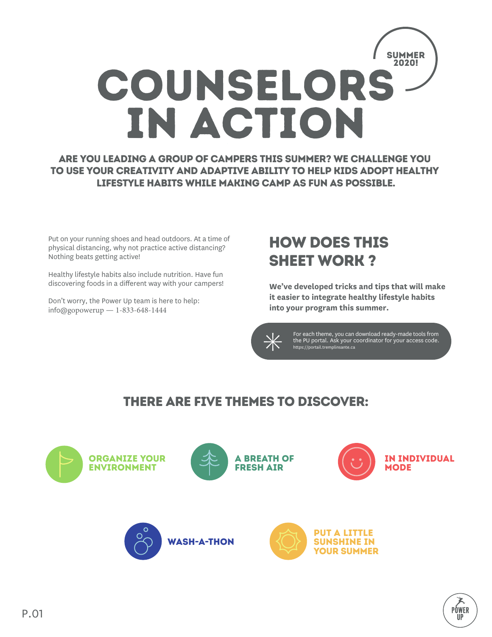

Are you leading a group of campers this summer? We challenge you to use your creativity and adaptive ability to help kids adopt healthy lifestyle habits while making camp as fun as possible.

Put on your running shoes and head outdoors. At a time of physical distancing, why not practice active distancing? Nothing beats getting active!

Healthy lifestyle habits also include nutrition. Have fun discovering foods in a different way with your campers!

Don't worry, the Power Up team is here to help: info@[gopowerup](mailto:info@tremplinsante.ca) — 1-833-648-1444

# How does this sheet work ?

**We've developed tricks and tips that will make it easier to integrate healthy lifestyle habits into your program this summer.**



For each theme, you can download ready-made tools from the PU portal. Ask your coordinator for your access code. <https://portail.tremplinsante.ca>

> PÓWER ШP

## There are five themes to discover:

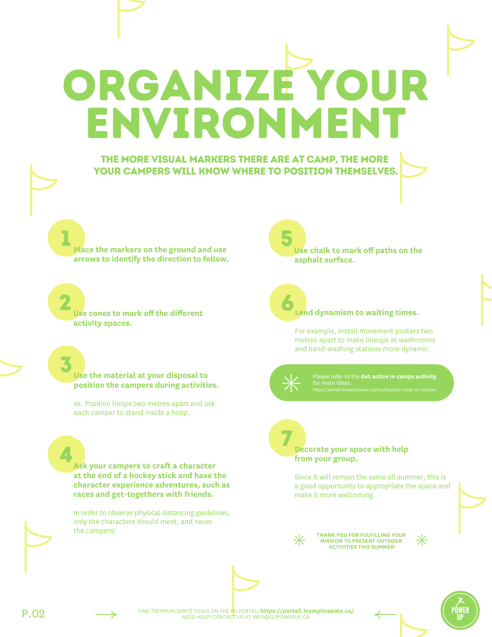ENVIRONMENT

ORGANIZE YOUR

#### The more visual markers there are at camp, The more your campers will know where to position themselves.

1 **Place the markers on the ground and use arrows to identify the direction to follow.** 

2 **Use cones to mark off the different activity spaces.** 

3 **Use the material at your disposal to position the campers during activities.** 

ex. Position hoops two metres apart and ask each camper to stand inside a hoop.

**Ask your campers to craft a character at the end of a hockey stick and have the character experience adventures, such as races and get-togethers with friends.** 

In order to observe physical distancing guidelines, only the characters should meet, and never the campers!

5 **Use chalk to mark off paths on the asphalt surface.**

#### **Lend dynamism to waiting times.**

For example, install movement posters two metres apart to make lineups at washrooms and hand-washing stations more dynamic.



6

Please refer to the **Get active in camps activity**

#### 7 **Decorate your space with help from your group.**

Since it will remain the same all summer, this is a good opportunity to appropriate the space and make it more welcoming.



**THANK YOU FOR FULFILLING YOUR MISSION TO PRESENT OUTDOOR ACTIVITIES THIS SUMMER!**



FIND TREMPLIN SANTÉ TOOLS ON THE PU PORTAL: **<https://portail.tremplinsante.ca/>** P.02 NEED HELP? CONTACT US AT INFO@GOPOWERUP.CA





4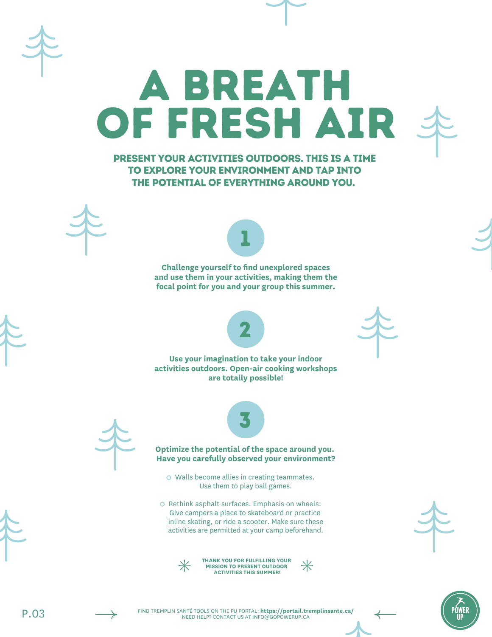Present your activities outdoors. This is a time to explore your environment and tap into the potential of everything around you.

A breath

of fresh air





**utiliser des flèches pour identifier la Challenge yourself to find unexplored spaces and use them in your activities, making them the focal point for you and your group this summer.**



Use your imagination to take your indoor **the cone of the solution of the solution activities outdoors. Open-air cooking workshops** activities outdoors. Open-air cooking workshops **are totally possible!**





### **Optimize the potential of the space around you.**  $\overline{\phantom{a}}$ comment.<br>Comme tout le même tout le même tout le même tout le même tout le même tout le même tout le contre de la comme **Have you carefully observed your environment?**

Use them to play ball games. bonne occasion de se l'approprier et de le  $rac{1}{2}$ o Walls become allies in creating teammates.

O Rethink asphalt surfaces. Emphasis on wheels: inline skating, or ride a scooter. Make sure these activities are permitted at your camp beforehand. **MERCI À TOI, DE POURSUIVRE TA MISSION EN ANIMATION** Give campers a place to skateboard or practice



**THANK YOU FOR FULFILLING YOUR**   $\divideontimes$ **MISSION TO PRESENT OUTDOOR ACTIVITIES THIS SUMMER!**





PÓ<u>w</u>er

P.03 FIND TREMPLIN SANTÉ TOOLS ON THE PU PORTAL: **<https://portail.tremplinsante.ca/>** NEED HELP? CONTACT US AT INFO@GOPOWERUP.CA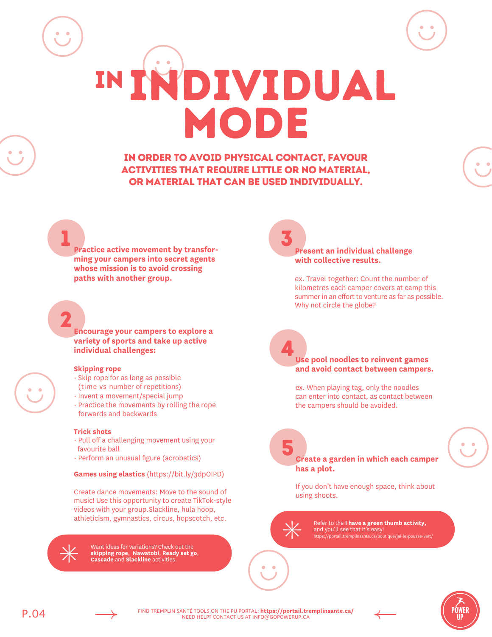In order to avoid physical contact, favour activities that require little or no material, or material that can be used individually.

IN INDIVIDUAL

MODE

**Practice active movement by transforming your campers into secret agents direction à suivre. whose mission is to avoid crossing**  <sup>1</sup> 34 **paths with another group.** 

2 **Utilise des cônes pour délimiter Encourage your campers to explore a** 2 **variety of sports and take up active individual challenges:**

#### **Skipping rope**

1

- (time vs number of repetitions) • Skip rope for as long as possible
- Invent a movement/special jump
- forwards and backwards • Practice the movements by rolling the rope

#### **Trick shots**

- Pull off a challenging movement using your favourite ball
- Perform an unusual figure (acrobatics)

**Games using elastics** [\(https://bit.ly/3dpOIPD\)](https://bit.ly/3dpOIPD) 

**Create dance movements: Move to the sound of personnage au bout d'un bâton de hockey**  music! Use this opportunity to create TikTok-style **et de lui faire vivre des aventures** videos with your group.Slackline, hula hoop, athleticism, gymnastics, circus, hopscotch, etc.

distanciation, c'est important qu'uniquement les

 $\bullet$  Want ideas for variations? Check out the  $\bullet$ **skipping rope**, **Nawatobi**, **Ready set go**, **Cascade** and **Slackline** activities.

#### 5 **Present an individual challenge with collective results.**

ex. Travel together: Count the number of kilometres each camper covers at camp this summer in an effort to venture as far as possible. Why not circle the globe?

#### d'attente pour les toilettes ou la zone de Use pool noodles to reinvent games **and avoid contact between campers.**

Installe des affiches de mouvements à deux mètres de distance pour animer les files

Réfère-toi à l'activité Au camp on s'active ex. When playing tag, only the noodles can enter into contact, as contact between the campers should be avoided.

#### **Décore ton espace avec ton groupe.** Create a garden in which each camper  $\mathbf{h}$ as a plot.  $\mathbf{h}$

If you don't have enough space, think about using shoots.

Refer to the **I have a green thumb activity,** and you'll see that it's easy! <https://portail.tremplinsante.ca/boutique/jai-le-pousse-vert/>



7

5



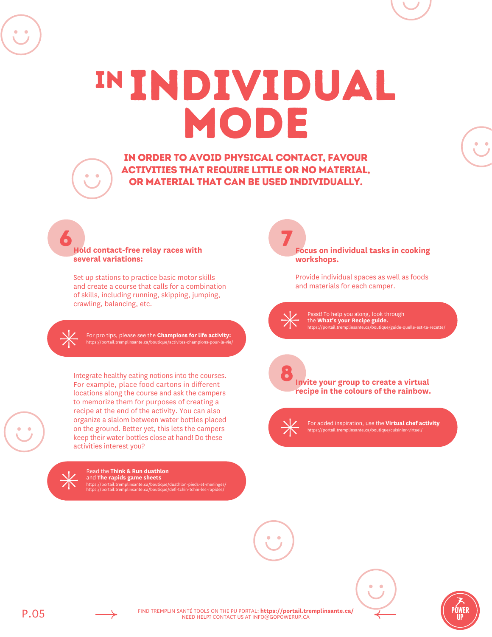IN Individual mode

In order to avoid physical contact, favour activities that require little or no material, or material that can be used individually.

7

#### 6 **Hold contact-free relay races with several variations:**

Set up stations to practice basic motor skills and create a course that calls for a combination of skills, including running, skipping, jumping, crawling, balancing, etc.

For pro tips, please see the **Champions for life activity:** <https://portail.tremplinsante.ca/boutique/activites-champions-pour-la-vie/>

Integrate healthy eating notions into the courses. For example, place food cartons in different locations along the course and ask the campers to memorize them for purposes of creating a recipe at the end of the activity. You can also organize a slalom between water bottles placed on the ground. Better yet, this lets the campers keep their water bottles close at hand! Do these activities interest you?



Read the **Think & Run duathlon** and **The rapids game sheets** <https://portail.tremplinsante.ca/boutique/duathlon-pieds-et-meninges/> <https://portail.tremplinsante.ca/boutique/defi-tchin-tchin-les-rapides/>

**Focus on individual tasks in cooking workshops.**

Provide individual spaces as well as foods and materials for each camper.

Pssst! To help you along, look through the **What's your Recipe guide.** <https://portail.tremplinsante.ca/boutique/guide-quelle-est-ta-recette/>



For added inspiration, use the **Virtual chef activity** <https://portail.tremplinsante.ca/boutique/cuisinier-virtuel/>







P.05 FIND TREMPLIN SANTÉ TOOLS ON THE PU PORTAL: **<https://portail.tremplinsante.ca/>** NEED HELP? CONTACT US AT INFO@GOPOWERUP.CA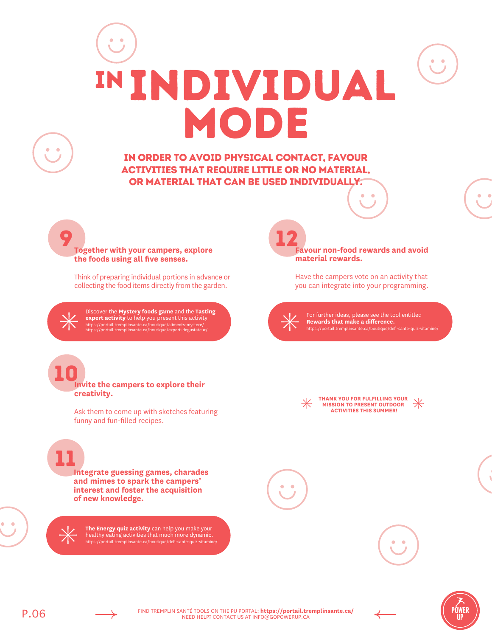# IN Individual mode

In order to avoid physical contact, favour activities that require little or no material, or material that can be used individually.

**Together with your campers, explore the foods using all five senses.**

Think of preparing individual portions in advance or collecting the food items directly from the garden.

Discover the **Mystery foods game** and the **Tasting expert activity** to help you present this activity <https://portail.tremplinsante.ca/boutique/aliments-mystere/> <https://portail.tremplinsante.ca/boutique/expert-degustateur/>

12 **Favour non-food rewards and avoid material rewards.** 

> Have the campers vote on an activity that you can integrate into your programming.

For further ideas, please see the tool entitled **Rewards that make a difference.** https://portail.tremplinsante.ca/boutique/defi-sa

**THANK YOU FOR FULFILLING YOUR MISSION TO PRESENT OUTDOOR ACTIVITIES THIS SUMMER!**

11

**creativity.**

9

 $\bullet$ 

10

**Integrate guessing games, charades and mimes to spark the campers' interest and foster the acquisition of new knowledge.**

**Invite the campers to explore their**

funny and fun-filled recipes.

Ask them to come up with sketches featuring

**The Energy quiz activity** can help you make your healthy eating activities that much more dynamic. <https://portail.tremplinsante.ca/boutique/defi-sante-quiz-vitamine/>







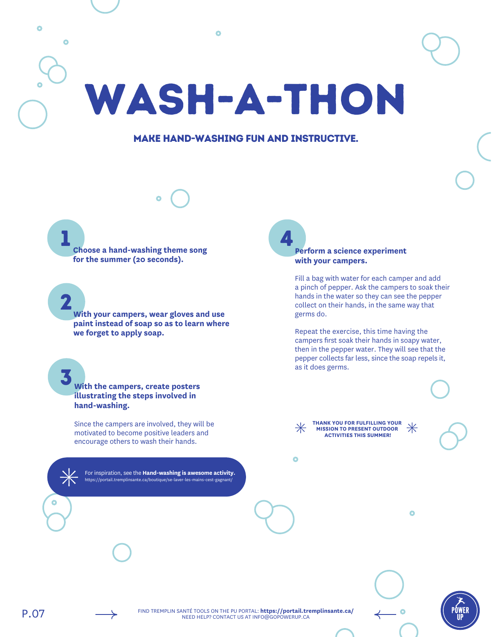٥  $\bullet$ Wash-a-thon

#### Make hand-washing fun and instructive.

1 **Choose a hand-washing theme song for the summer (20 seconds).** 

2 **With your campers, wear gloves and use paint instead of soap so as to learn where we forget to apply soap.**

3 **With the campers, create posters illustrating the steps involved in hand-washing.** 

Since the campers are involved, they will be motivated to become positive leaders and encourage others to wash their hands.

For inspiration, see the **Hand-washing is awesome activity.** <https://portail.tremplinsante.ca/boutique/se-laver-les-mains-cest-gagnant/>

4 **Perform a science experiment with your campers.**

> Fill a bag with water for each camper and add a pinch of pepper. Ask the campers to soak their hands in the water so they can see the pepper collect on their hands, in the same way that germs do.

Repeat the exercise, this time having the campers first soak their hands in soapy water, then in the pepper water. They will see that the pepper collects far less, since the soap repels it, as it does germs.

Ō

**THANK YOU FOR FULFILLING YOUR MISSION TO PRESENT OUTDOOR ACTIVITIES THIS SUMMER!**

 $\bullet$ 

P.07 FIND TREMPLIN SANTÉ TOOLS ON THE PU PORTAL: **<https://portail.tremplinsante.ca/>** NEED HELP? CONTACT US AT INFO@GOPOWERUP.CA

Ō

PÒWER